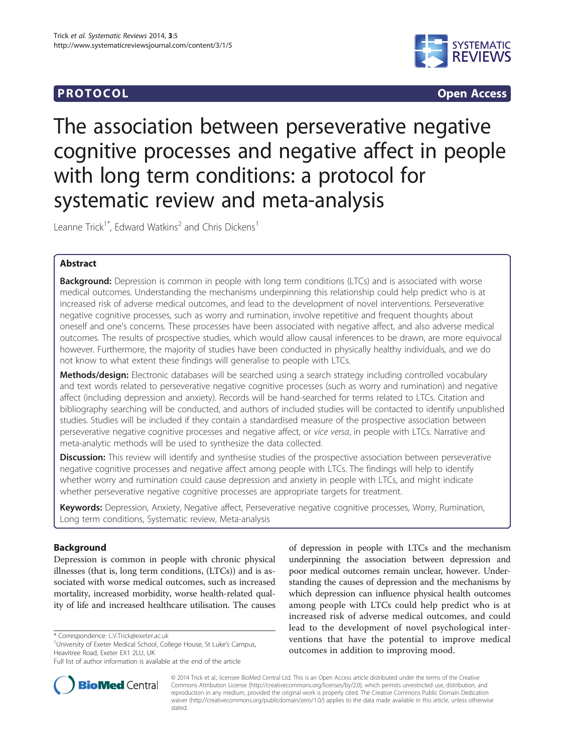## **PROTOCOL CONSUMING ACCESS CONSUMING ACCESS**



# The association between perseverative negative cognitive processes and negative affect in people with long term conditions: a protocol for systematic review and meta-analysis

Leanne Trick<sup>1\*</sup>, Edward Watkins<sup>2</sup> and Chris Dickens<sup>1</sup>

## Abstract

**Background:** Depression is common in people with long term conditions (LTCs) and is associated with worse medical outcomes. Understanding the mechanisms underpinning this relationship could help predict who is at increased risk of adverse medical outcomes, and lead to the development of novel interventions. Perseverative negative cognitive processes, such as worry and rumination, involve repetitive and frequent thoughts about oneself and one's concerns. These processes have been associated with negative affect, and also adverse medical outcomes. The results of prospective studies, which would allow causal inferences to be drawn, are more equivocal however. Furthermore, the majority of studies have been conducted in physically healthy individuals, and we do not know to what extent these findings will generalise to people with LTCs.

Methods/design: Electronic databases will be searched using a search strategy including controlled vocabulary and text words related to perseverative negative cognitive processes (such as worry and rumination) and negative affect (including depression and anxiety). Records will be hand-searched for terms related to LTCs. Citation and bibliography searching will be conducted, and authors of included studies will be contacted to identify unpublished studies. Studies will be included if they contain a standardised measure of the prospective association between perseverative negative cognitive processes and negative affect, or vice versa, in people with LTCs. Narrative and meta-analytic methods will be used to synthesize the data collected.

Discussion: This review will identify and synthesise studies of the prospective association between perseverative negative cognitive processes and negative affect among people with LTCs. The findings will help to identify whether worry and rumination could cause depression and anxiety in people with LTCs, and might indicate whether perseverative negative cognitive processes are appropriate targets for treatment.

Keywords: Depression, Anxiety, Negative affect, Perseverative negative cognitive processes, Worry, Rumination, Long term conditions, Systematic review, Meta-analysis

## Background

Depression is common in people with chronic physical illnesses (that is, long term conditions, (LTCs)) and is associated with worse medical outcomes, such as increased mortality, increased morbidity, worse health-related quality of life and increased healthcare utilisation. The causes

**BioMed Central** 

Full list of author information is available at the end of the article



© 2014 Trick et al.; licensee BioMed Central Ltd. This is an Open Access article distributed under the terms of the Creative Commons Attribution License [\(http://creativecommons.org/licenses/by/2.0\)](http://creativecommons.org/licenses/by/2.0), which permits unrestricted use, distribution, and reproduction in any medium, provided the original work is properly cited. The Creative Commons Public Domain Dedication waiver [\(http://creativecommons.org/publicdomain/zero/1.0/\)](http://creativecommons.org/publicdomain/zero/1.0/) applies to the data made available in this article, unless otherwise stated.

<sup>\*</sup> Correspondence: [L.V.Trick@exeter.ac.uk](mailto:L.V.Trick@exeter.ac.uk) <sup>1</sup>

<sup>&</sup>lt;sup>1</sup>University of Exeter Medical School, College House, St Luke's Campus, Heavitree Road, Exeter EX1 2LU, UK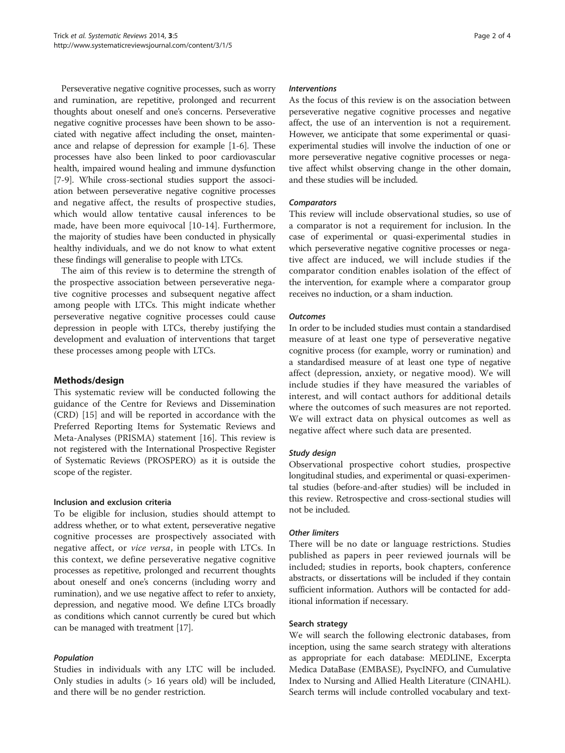Perseverative negative cognitive processes, such as worry and rumination, are repetitive, prolonged and recurrent thoughts about oneself and one's concerns. Perseverative negative cognitive processes have been shown to be associated with negative affect including the onset, maintenance and relapse of depression for example [\[1](#page-3-0)-[6](#page-3-0)]. These processes have also been linked to poor cardiovascular health, impaired wound healing and immune dysfunction [[7-9\]](#page-3-0). While cross-sectional studies support the association between perseverative negative cognitive processes and negative affect, the results of prospective studies, which would allow tentative causal inferences to be made, have been more equivocal [\[10-14](#page-3-0)]. Furthermore, the majority of studies have been conducted in physically healthy individuals, and we do not know to what extent these findings will generalise to people with LTCs.

The aim of this review is to determine the strength of the prospective association between perseverative negative cognitive processes and subsequent negative affect among people with LTCs. This might indicate whether perseverative negative cognitive processes could cause depression in people with LTCs, thereby justifying the development and evaluation of interventions that target these processes among people with LTCs.

## Methods/design

This systematic review will be conducted following the guidance of the Centre for Reviews and Dissemination (CRD) [[15\]](#page-3-0) and will be reported in accordance with the Preferred Reporting Items for Systematic Reviews and Meta-Analyses (PRISMA) statement [[16](#page-3-0)]. This review is not registered with the International Prospective Register of Systematic Reviews (PROSPERO) as it is outside the scope of the register.

## Inclusion and exclusion criteria

To be eligible for inclusion, studies should attempt to address whether, or to what extent, perseverative negative cognitive processes are prospectively associated with negative affect, or vice versa, in people with LTCs. In this context, we define perseverative negative cognitive processes as repetitive, prolonged and recurrent thoughts about oneself and one's concerns (including worry and rumination), and we use negative affect to refer to anxiety, depression, and negative mood. We define LTCs broadly as conditions which cannot currently be cured but which can be managed with treatment [[17](#page-3-0)].

## Population

Studies in individuals with any LTC will be included. Only studies in adults (> 16 years old) will be included, and there will be no gender restriction.

#### Interventions

As the focus of this review is on the association between perseverative negative cognitive processes and negative affect, the use of an intervention is not a requirement. However, we anticipate that some experimental or quasiexperimental studies will involve the induction of one or more perseverative negative cognitive processes or negative affect whilst observing change in the other domain, and these studies will be included.

## **Comparators**

This review will include observational studies, so use of a comparator is not a requirement for inclusion. In the case of experimental or quasi-experimental studies in which perseverative negative cognitive processes or negative affect are induced, we will include studies if the comparator condition enables isolation of the effect of the intervention, for example where a comparator group receives no induction, or a sham induction.

#### **Outcomes**

In order to be included studies must contain a standardised measure of at least one type of perseverative negative cognitive process (for example, worry or rumination) and a standardised measure of at least one type of negative affect (depression, anxiety, or negative mood). We will include studies if they have measured the variables of interest, and will contact authors for additional details where the outcomes of such measures are not reported. We will extract data on physical outcomes as well as negative affect where such data are presented.

## Study design

Observational prospective cohort studies, prospective longitudinal studies, and experimental or quasi-experimental studies (before-and-after studies) will be included in this review. Retrospective and cross-sectional studies will not be included.

## Other limiters

There will be no date or language restrictions. Studies published as papers in peer reviewed journals will be included; studies in reports, book chapters, conference abstracts, or dissertations will be included if they contain sufficient information. Authors will be contacted for additional information if necessary.

## Search strategy

We will search the following electronic databases, from inception, using the same search strategy with alterations as appropriate for each database: MEDLINE, Excerpta Medica DataBase (EMBASE), PsycINFO, and Cumulative Index to Nursing and Allied Health Literature (CINAHL). Search terms will include controlled vocabulary and text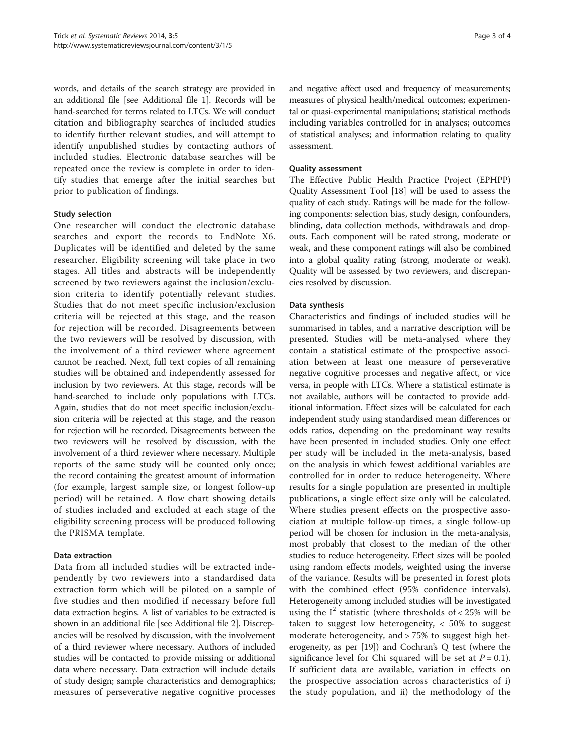words, and details of the search strategy are provided in an additional file [see Additional file [1](#page-3-0)]. Records will be hand-searched for terms related to LTCs. We will conduct citation and bibliography searches of included studies to identify further relevant studies, and will attempt to identify unpublished studies by contacting authors of included studies. Electronic database searches will be repeated once the review is complete in order to identify studies that emerge after the initial searches but prior to publication of findings.

## Study selection

One researcher will conduct the electronic database searches and export the records to EndNote X6. Duplicates will be identified and deleted by the same researcher. Eligibility screening will take place in two stages. All titles and abstracts will be independently screened by two reviewers against the inclusion/exclusion criteria to identify potentially relevant studies. Studies that do not meet specific inclusion/exclusion criteria will be rejected at this stage, and the reason for rejection will be recorded. Disagreements between the two reviewers will be resolved by discussion, with the involvement of a third reviewer where agreement cannot be reached. Next, full text copies of all remaining studies will be obtained and independently assessed for inclusion by two reviewers. At this stage, records will be hand-searched to include only populations with LTCs. Again, studies that do not meet specific inclusion/exclusion criteria will be rejected at this stage, and the reason for rejection will be recorded. Disagreements between the two reviewers will be resolved by discussion, with the involvement of a third reviewer where necessary. Multiple reports of the same study will be counted only once; the record containing the greatest amount of information (for example, largest sample size, or longest follow-up period) will be retained. A flow chart showing details of studies included and excluded at each stage of the eligibility screening process will be produced following the PRISMA template.

#### Data extraction

Data from all included studies will be extracted independently by two reviewers into a standardised data extraction form which will be piloted on a sample of five studies and then modified if necessary before full data extraction begins. A list of variables to be extracted is shown in an additional file [see Additional file [2\]](#page-3-0). Discrepancies will be resolved by discussion, with the involvement of a third reviewer where necessary. Authors of included studies will be contacted to provide missing or additional data where necessary. Data extraction will include details of study design; sample characteristics and demographics; measures of perseverative negative cognitive processes and negative affect used and frequency of measurements; measures of physical health/medical outcomes; experimental or quasi-experimental manipulations; statistical methods including variables controlled for in analyses; outcomes of statistical analyses; and information relating to quality assessment.

#### Quality assessment

The Effective Public Health Practice Project (EPHPP) Quality Assessment Tool [[18\]](#page-3-0) will be used to assess the quality of each study. Ratings will be made for the following components: selection bias, study design, confounders, blinding, data collection methods, withdrawals and dropouts. Each component will be rated strong, moderate or weak, and these component ratings will also be combined into a global quality rating (strong, moderate or weak). Quality will be assessed by two reviewers, and discrepancies resolved by discussion.

#### Data synthesis

Characteristics and findings of included studies will be summarised in tables, and a narrative description will be presented. Studies will be meta-analysed where they contain a statistical estimate of the prospective association between at least one measure of perseverative negative cognitive processes and negative affect, or vice versa, in people with LTCs. Where a statistical estimate is not available, authors will be contacted to provide additional information. Effect sizes will be calculated for each independent study using standardised mean differences or odds ratios, depending on the predominant way results have been presented in included studies. Only one effect per study will be included in the meta-analysis, based on the analysis in which fewest additional variables are controlled for in order to reduce heterogeneity. Where results for a single population are presented in multiple publications, a single effect size only will be calculated. Where studies present effects on the prospective association at multiple follow-up times, a single follow-up period will be chosen for inclusion in the meta-analysis, most probably that closest to the median of the other studies to reduce heterogeneity. Effect sizes will be pooled using random effects models, weighted using the inverse of the variance. Results will be presented in forest plots with the combined effect (95% confidence intervals). Heterogeneity among included studies will be investigated using the  $I^2$  statistic (where thresholds of  $<$  25% will be taken to suggest low heterogeneity, < 50% to suggest moderate heterogeneity, and > 75% to suggest high heterogeneity, as per [[19\]](#page-3-0)) and Cochran's Q test (where the significance level for Chi squared will be set at  $P = 0.1$ ). If sufficient data are available, variation in effects on the prospective association across characteristics of i) the study population, and ii) the methodology of the